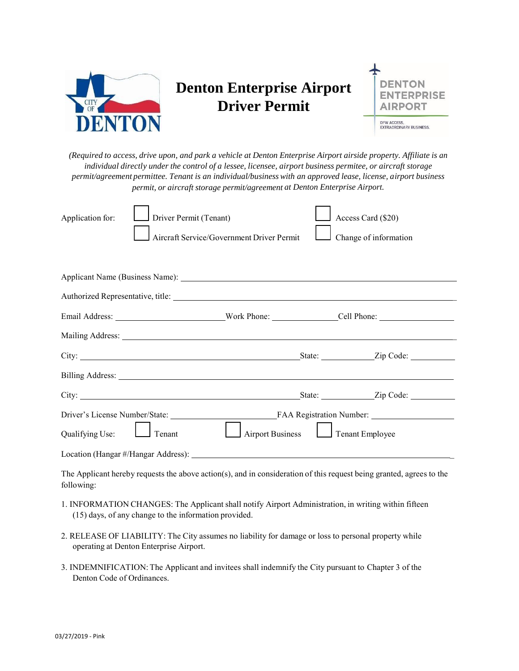

## **Denton Enterprise Airport Driver Permit**



*(Required to access, drive upon, and park a vehicle at Denton Enterprise Airport airside property. Affiliate is an individual directly under the control of a lessee, licensee, airport business permitee, or aircraft storage permit/agreement permittee. Tenant is an individual/business with an approved lease, license, airport business permit, or aircraft storage permit/agreement at Denton Enterprise Airport.*

| Application for: | Driver Permit (Tenant)                                                                                                                                                                                                               |                                                                                                                 |  | Access Card (\$20)    |  |  |
|------------------|--------------------------------------------------------------------------------------------------------------------------------------------------------------------------------------------------------------------------------------|-----------------------------------------------------------------------------------------------------------------|--|-----------------------|--|--|
|                  |                                                                                                                                                                                                                                      | Aircraft Service/Government Driver Permit                                                                       |  | Change of information |  |  |
|                  |                                                                                                                                                                                                                                      |                                                                                                                 |  |                       |  |  |
|                  |                                                                                                                                                                                                                                      |                                                                                                                 |  |                       |  |  |
|                  |                                                                                                                                                                                                                                      |                                                                                                                 |  |                       |  |  |
|                  |                                                                                                                                                                                                                                      |                                                                                                                 |  |                       |  |  |
|                  |                                                                                                                                                                                                                                      |                                                                                                                 |  |                       |  |  |
|                  | City: <u>City:</u> City: 2ip Code: 2ip Code: 2ip Code: 2ip Code: 2ip Code: 2ip Code: 2ip Code: 2ip Code: 2ip Code: 2ip Code: 2ip Code: 2ip Code: 2ip Code: 2ip Code: 2ip Code: 2ip Code: 2ip Code: 2ip Code: 2ip Code: 2ip Code: 2i  |                                                                                                                 |  |                       |  |  |
|                  | Billing Address: <u>The Community of the Community of the Community of the Community of the Community of the Community of the Community of the Community of the Community of the Community of the Community of the Community of </u> |                                                                                                                 |  |                       |  |  |
|                  | City: <u>City:</u> City: 2ip Code: 2ip Code: 2ip Code: 2ip Code: 2ip Code: 2ip Code: 2ip Code: 2ip Code: 2ip Code: 2ip Code: 2ip Code: 2ip Code: 2ip Code: 2ip Code: 2ip Code: 2ip Code: 2ip Code: 2ip Code: 2ip Code: 2ip Code: 2i  |                                                                                                                 |  |                       |  |  |
|                  |                                                                                                                                                                                                                                      |                                                                                                                 |  |                       |  |  |
| Qualifying Use:  | Tenant                                                                                                                                                                                                                               | Airport Business                                                                                                |  | Tenant Employee       |  |  |
|                  |                                                                                                                                                                                                                                      |                                                                                                                 |  |                       |  |  |
|                  |                                                                                                                                                                                                                                      | in the company of the company of the company of the company of the company of the company of the company of the |  |                       |  |  |

The Applicant hereby requests the above action(s), and in consideration of this request being granted, agrees to the following:

- 1. INFORMATION CHANGES: The Applicant shall notify Airport Administration, in writing within fifteen (15) days, of any change to the information provided.
- 2. RELEASE OF LIABILITY: The City assumes no liability for damage or loss to personal property while operating at Denton Enterprise Airport.
- 3. INDEMNIFICATION: The Applicant and invitees shall indemnify the City pursuant to Chapter 3 of the Denton Code of Ordinances.